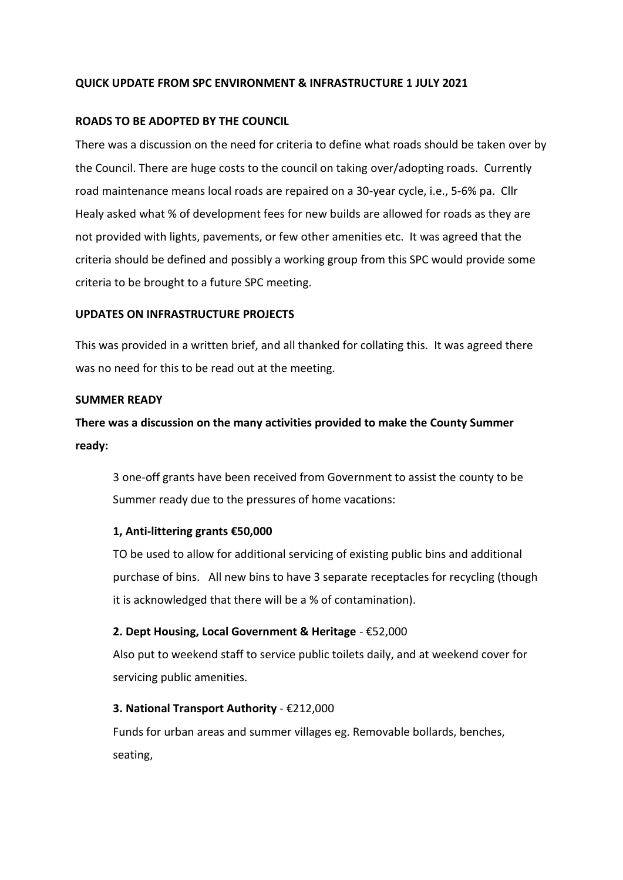## **QUICK UPDATE FROM SPC ENVIRONMENT & INFRASTRUCTURE 1 JULY 2021**

#### **ROADS TO BE ADOPTED BY THE COUNCIL**

There was a discussion on the need for criteria to define what roads should be taken over by the Council. There are huge costs to the council on taking over/adopting roads. Currently road maintenance means local roads are repaired on a 30-year cycle, i.e., 5-6% pa. Cllr Healy asked what % of development fees for new builds are allowed for roads as they are not provided with lights, pavements, or few other amenities etc. It was agreed that the criteria should be defined and possibly a working group from this SPC would provide some criteria to be brought to a future SPC meeting.

#### **UPDATES ON INFRASTRUCTURE PROJECTS**

This was provided in a written brief, and all thanked for collating this. It was agreed there was no need for this to be read out at the meeting.

#### **SUMMER READY**

# **There was a discussion on the many activities provided to make the County Summer ready:**

3 one-off grants have been received from Government to assist the county to be Summer ready due to the pressures of home vacations:

#### **1, Anti-littering grants €50,000**

TO be used to allow for additional servicing of existing public bins and additional purchase of bins. All new bins to have 3 separate receptacles for recycling (though it is acknowledged that there will be a % of contamination).

#### **2. Dept Housing, Local Government & Heritage** - €52,000

Also put to weekend staff to service public toilets daily, and at weekend cover for servicing public amenities.

## **3. National Transport Authority** - €212,000

Funds for urban areas and summer villages eg. Removable bollards, benches, seating,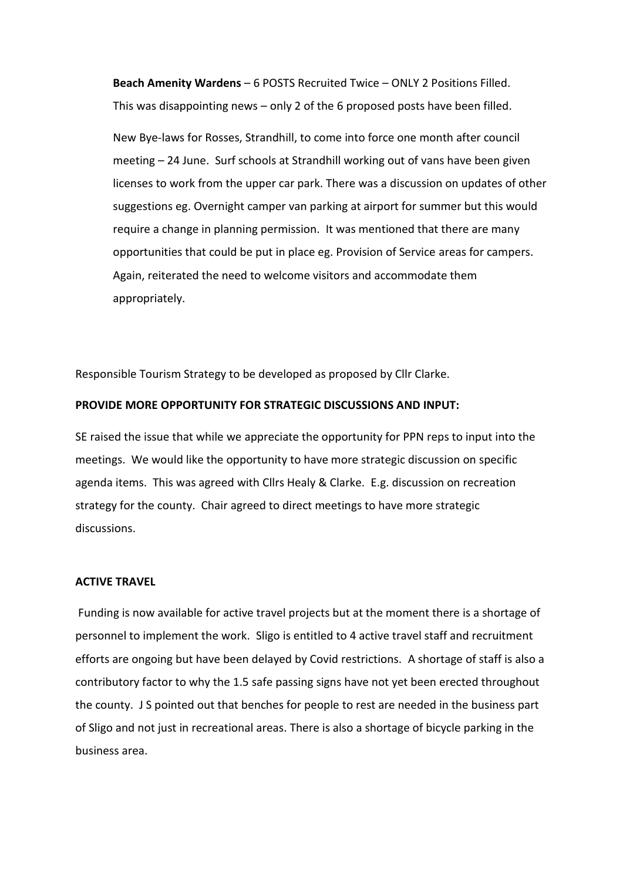**Beach Amenity Wardens** – 6 POSTS Recruited Twice – ONLY 2 Positions Filled. This was disappointing news – only 2 of the 6 proposed posts have been filled.

New Bye-laws for Rosses, Strandhill, to come into force one month after council meeting – 24 June. Surf schools at Strandhill working out of vans have been given licenses to work from the upper car park. There was a discussion on updates of other suggestions eg. Overnight camper van parking at airport for summer but this would require a change in planning permission. It was mentioned that there are many opportunities that could be put in place eg. Provision of Service areas for campers. Again, reiterated the need to welcome visitors and accommodate them appropriately.

Responsible Tourism Strategy to be developed as proposed by Cllr Clarke.

## **PROVIDE MORE OPPORTUNITY FOR STRATEGIC DISCUSSIONS AND INPUT:**

SE raised the issue that while we appreciate the opportunity for PPN reps to input into the meetings. We would like the opportunity to have more strategic discussion on specific agenda items. This was agreed with Cllrs Healy & Clarke. E.g. discussion on recreation strategy for the county. Chair agreed to direct meetings to have more strategic discussions.

#### **ACTIVE TRAVEL**

Funding is now available for active travel projects but at the moment there is a shortage of personnel to implement the work. Sligo is entitled to 4 active travel staff and recruitment efforts are ongoing but have been delayed by Covid restrictions. A shortage of staff is also a contributory factor to why the 1.5 safe passing signs have not yet been erected throughout the county. J S pointed out that benches for people to rest are needed in the business part of Sligo and not just in recreational areas. There is also a shortage of bicycle parking in the business area.